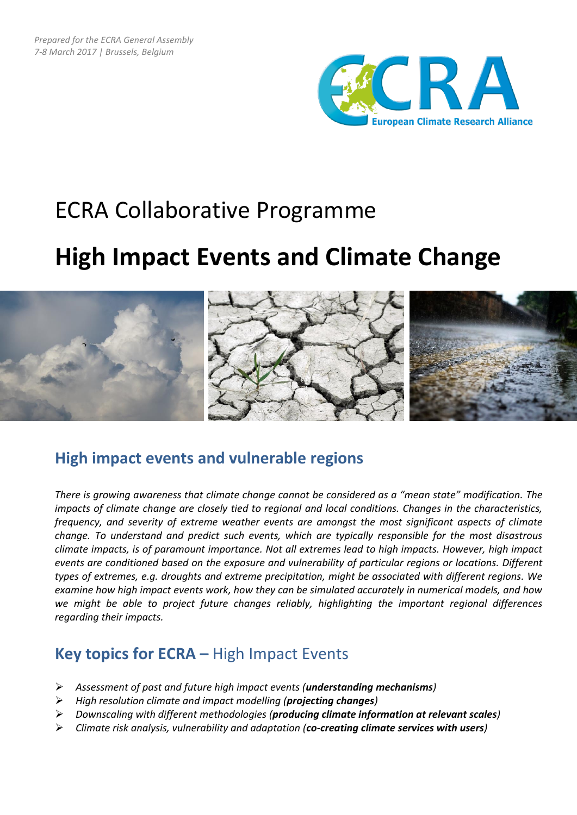

# ECRA Collaborative Programme

# **High Impact Events and Climate Change**



### **High impact events and vulnerable regions**

*There is growing awareness that climate change cannot be considered as a "mean state" modification. The impacts of climate change are closely tied to regional and local conditions. Changes in the characteristics, frequency, and severity of extreme weather events are amongst the most significant aspects of climate change. To understand and predict such events, which are typically responsible for the most disastrous climate impacts, is of paramount importance. Not all extremes lead to high impacts. However, high impact events are conditioned based on the exposure and vulnerability of particular regions or locations. Different types of extremes, e.g. droughts and extreme precipitation, might be associated with different regions. We examine how high impact events work, how they can be simulated accurately in numerical models, and how we might be able to project future changes reliably, highlighting the important regional differences regarding their impacts.*

### **Key topics for ECRA –** High Impact Events

- *Assessment of past and future high impact events (understanding mechanisms)*
- *High resolution climate and impact modelling (projecting changes)*
- *Downscaling with different methodologies (producing climate information at relevant scales)*
- *Climate risk analysis, vulnerability and adaptation (co-creating climate services with users)*